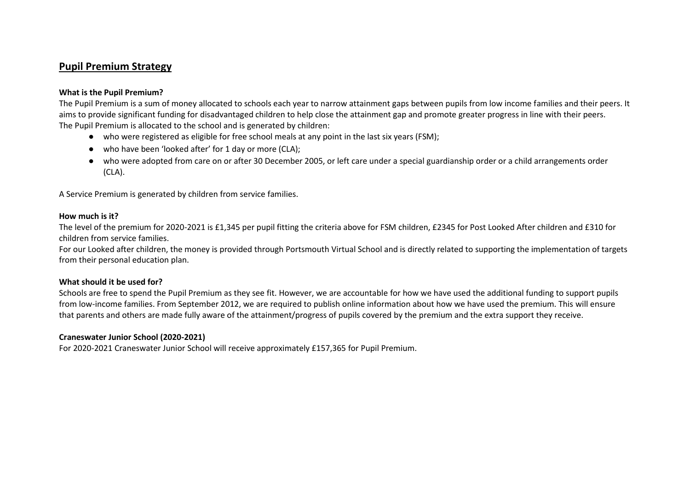# **Pupil Premium Strategy**

### **What is the Pupil Premium?**

The Pupil Premium is a sum of money allocated to schools each year to narrow attainment gaps between pupils from low income families and their peers. It aims to provide significant funding for disadvantaged children to help close the attainment gap and promote greater progress in line with their peers. The Pupil Premium is allocated to the school and is generated by children:

- who were registered as eligible for free school meals at any point in the last six years (FSM);
- who have been 'looked after' for 1 day or more (CLA);
- who were adopted from care on or after 30 December 2005, or left care under a special guardianship order or a child arrangements order (CLA).

A Service Premium is generated by children from service families.

#### **How much is it?**

The level of the premium for 2020-2021 is £1,345 per pupil fitting the criteria above for FSM children, £2345 for Post Looked After children and £310 for children from service families.

For our Looked after children, the money is provided through Portsmouth Virtual School and is directly related to supporting the implementation of targets from their personal education plan.

#### **What should it be used for?**

Schools are free to spend the Pupil Premium as they see fit. However, we are accountable for how we have used the additional funding to support pupils from low-income families. From September 2012, we are required to publish online information about how we have used the premium. This will ensure that parents and others are made fully aware of the attainment/progress of pupils covered by the premium and the extra support they receive.

## **Craneswater Junior School (2020-2021)**

For 2020-2021 Craneswater Junior School will receive approximately £157,365 for Pupil Premium.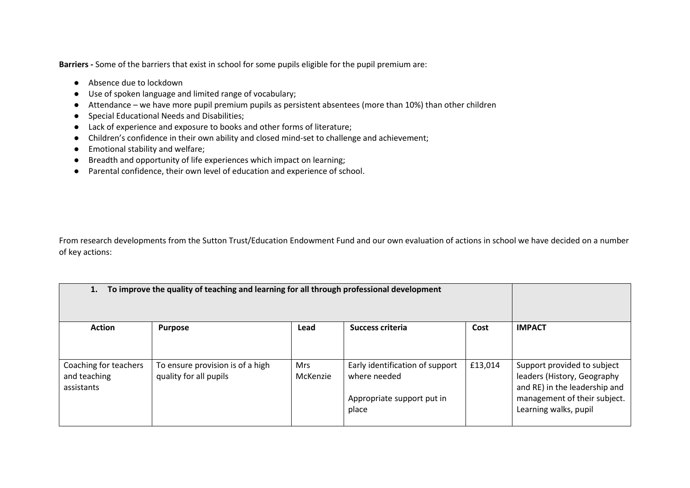**Barriers -** Some of the barriers that exist in school for some pupils eligible for the pupil premium are:

- Absence due to lockdown
- Use of spoken language and limited range of vocabulary;
- Attendance we have more pupil premium pupils as persistent absentees (more than 10%) than other children
- Special Educational Needs and Disabilities;
- Lack of experience and exposure to books and other forms of literature;
- Children's confidence in their own ability and closed mind-set to challenge and achievement;
- Emotional stability and welfare;
- Breadth and opportunity of life experiences which impact on learning;
- Parental confidence, their own level of education and experience of school.

From research developments from the Sutton Trust/Education Endowment Fund and our own evaluation of actions in school we have decided on a number of key actions:

| To improve the quality of teaching and learning for all through professional development<br>1. |                                                            |                        |                                                                                        |         |                                                                                                                                                      |
|------------------------------------------------------------------------------------------------|------------------------------------------------------------|------------------------|----------------------------------------------------------------------------------------|---------|------------------------------------------------------------------------------------------------------------------------------------------------------|
| <b>Action</b>                                                                                  | <b>Purpose</b>                                             | Lead                   | Success criteria                                                                       | Cost    | <b>IMPACT</b>                                                                                                                                        |
| Coaching for teachers<br>and teaching<br>assistants                                            | To ensure provision is of a high<br>quality for all pupils | <b>Mrs</b><br>McKenzie | Early identification of support<br>where needed<br>Appropriate support put in<br>place | £13,014 | Support provided to subject<br>leaders (History, Geography<br>and RE) in the leadership and<br>management of their subject.<br>Learning walks, pupil |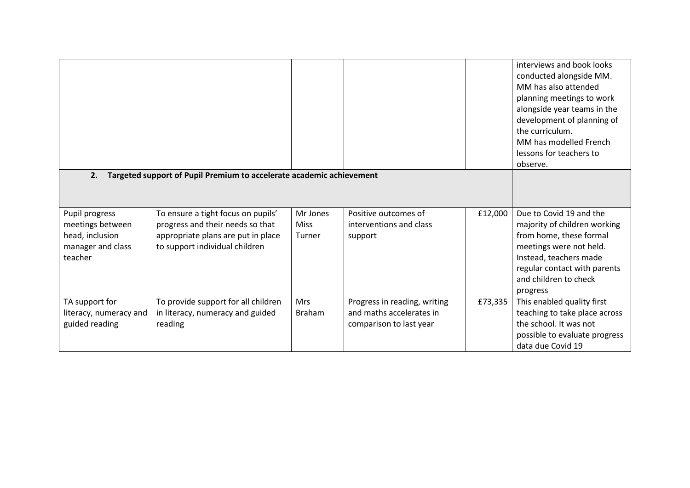|                                                                                       |                                                                                                                                                |                                   |                                                                                     |         | interviews and book looks<br>conducted alongside MM.<br>MM has also attended<br>planning meetings to work<br>alongside year teams in the<br>development of planning of<br>the curriculum.<br>MM has modelled French<br>lessons for teachers to<br>observe. |
|---------------------------------------------------------------------------------------|------------------------------------------------------------------------------------------------------------------------------------------------|-----------------------------------|-------------------------------------------------------------------------------------|---------|------------------------------------------------------------------------------------------------------------------------------------------------------------------------------------------------------------------------------------------------------------|
| Targeted support of Pupil Premium to accelerate academic achievement<br>2.            |                                                                                                                                                |                                   |                                                                                     |         |                                                                                                                                                                                                                                                            |
| Pupil progress<br>meetings between<br>head, inclusion<br>manager and class<br>teacher | To ensure a tight focus on pupils'<br>progress and their needs so that<br>appropriate plans are put in place<br>to support individual children | Mr Jones<br><b>Miss</b><br>Turner | Positive outcomes of<br>interventions and class<br>support                          | £12,000 | Due to Covid 19 and the<br>majority of children working<br>from home, these formal<br>meetings were not held.<br>Instead, teachers made<br>regular contact with parents<br>and children to check<br>progress                                               |
| TA support for<br>literacy, numeracy and<br>guided reading                            | To provide support for all children<br>in literacy, numeracy and guided<br>reading                                                             | Mrs<br><b>Braham</b>              | Progress in reading, writing<br>and maths accelerates in<br>comparison to last year | £73,335 | This enabled quality first<br>teaching to take place across<br>the school. It was not<br>possible to evaluate progress<br>data due Covid 19                                                                                                                |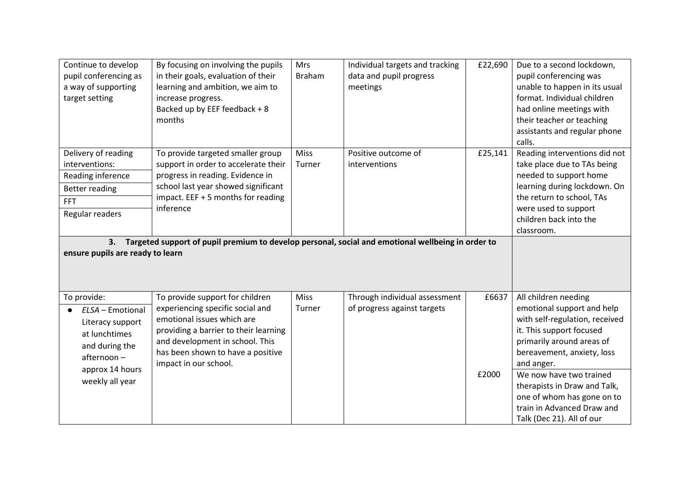| Continue to develop<br>pupil conferencing as<br>a way of supporting<br>target setting                                   | By focusing on involving the pupils<br>in their goals, evaluation of their<br>learning and ambition, we aim to<br>increase progress.<br>Backed up by EEF feedback + 8<br>months                                                             | <b>Mrs</b><br><b>Braham</b> | Individual targets and tracking<br>data and pupil progress<br>meetings | £22,690 | Due to a second lockdown,<br>pupil conferencing was<br>unable to happen in its usual<br>format. Individual children<br>had online meetings with<br>their teacher or teaching<br>assistants and regular phone<br>calls. |
|-------------------------------------------------------------------------------------------------------------------------|---------------------------------------------------------------------------------------------------------------------------------------------------------------------------------------------------------------------------------------------|-----------------------------|------------------------------------------------------------------------|---------|------------------------------------------------------------------------------------------------------------------------------------------------------------------------------------------------------------------------|
| Delivery of reading<br>interventions:<br>Reading inference<br><b>Better reading</b><br><b>FFT</b><br>Regular readers    | To provide targeted smaller group<br>support in order to accelerate their<br>progress in reading. Evidence in<br>school last year showed significant<br>impact. EEF + 5 months for reading<br>inference                                     | Miss<br>Turner              | Positive outcome of<br>interventions                                   | £25,141 | Reading interventions did not<br>take place due to TAs being<br>needed to support home<br>learning during lockdown. On<br>the return to school, TAs<br>were used to support<br>children back into the<br>classroom.    |
| 3.<br>ensure pupils are ready to learn                                                                                  | Targeted support of pupil premium to develop personal, social and emotional wellbeing in order to                                                                                                                                           |                             |                                                                        |         |                                                                                                                                                                                                                        |
| To provide:<br>ELSA - Emotional<br>Literacy support<br>at lunchtimes<br>and during the<br>afternoon-<br>approx 14 hours | To provide support for children<br>experiencing specific social and<br>emotional issues which are<br>providing a barrier to their learning<br>and development in school. This<br>has been shown to have a positive<br>impact in our school. | <b>Miss</b><br>Turner       | Through individual assessment<br>of progress against targets           | £6637   | All children needing<br>emotional support and help<br>with self-regulation, received<br>it. This support focused<br>primarily around areas of<br>bereavement, anxiety, loss<br>and anger.                              |
| weekly all year                                                                                                         |                                                                                                                                                                                                                                             |                             |                                                                        | £2000   | We now have two trained<br>therapists in Draw and Talk,<br>one of whom has gone on to<br>train in Advanced Draw and<br>Talk (Dec 21). All of our                                                                       |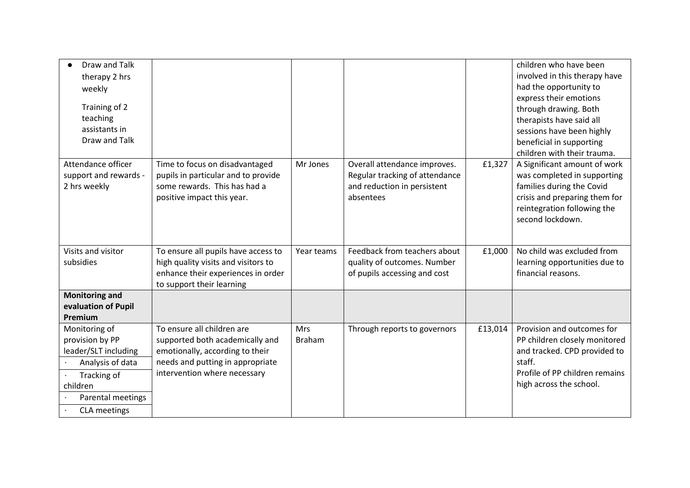| Draw and Talk<br>therapy 2 hrs<br>weekly<br>Training of 2<br>teaching<br>assistants in<br>Draw and Talk                                             |                                                                                                                                                                      |                             |                                                                                                            |         | children who have been<br>involved in this therapy have<br>had the opportunity to<br>express their emotions<br>through drawing. Both<br>therapists have said all<br>sessions have been highly<br>beneficial in supporting<br>children with their trauma. |
|-----------------------------------------------------------------------------------------------------------------------------------------------------|----------------------------------------------------------------------------------------------------------------------------------------------------------------------|-----------------------------|------------------------------------------------------------------------------------------------------------|---------|----------------------------------------------------------------------------------------------------------------------------------------------------------------------------------------------------------------------------------------------------------|
| Attendance officer<br>support and rewards -<br>2 hrs weekly                                                                                         | Time to focus on disadvantaged<br>pupils in particular and to provide<br>some rewards. This has had a<br>positive impact this year.                                  | Mr Jones                    | Overall attendance improves.<br>Regular tracking of attendance<br>and reduction in persistent<br>absentees | £1,327  | A Significant amount of work<br>was completed in supporting<br>families during the Covid<br>crisis and preparing them for<br>reintegration following the<br>second lockdown.                                                                             |
| Visits and visitor<br>subsidies                                                                                                                     | To ensure all pupils have access to<br>high quality visits and visitors to<br>enhance their experiences in order<br>to support their learning                        | Year teams                  | Feedback from teachers about<br>quality of outcomes. Number<br>of pupils accessing and cost                | £1,000  | No child was excluded from<br>learning opportunities due to<br>financial reasons.                                                                                                                                                                        |
| <b>Monitoring and</b><br>evaluation of Pupil<br>Premium                                                                                             |                                                                                                                                                                      |                             |                                                                                                            |         |                                                                                                                                                                                                                                                          |
| Monitoring of<br>provision by PP<br>leader/SLT including<br>Analysis of data<br>Tracking of<br>children<br>Parental meetings<br><b>CLA</b> meetings | To ensure all children are<br>supported both academically and<br>emotionally, according to their<br>needs and putting in appropriate<br>intervention where necessary | <b>Mrs</b><br><b>Braham</b> | Through reports to governors                                                                               | £13,014 | Provision and outcomes for<br>PP children closely monitored<br>and tracked. CPD provided to<br>staff.<br>Profile of PP children remains<br>high across the school.                                                                                       |